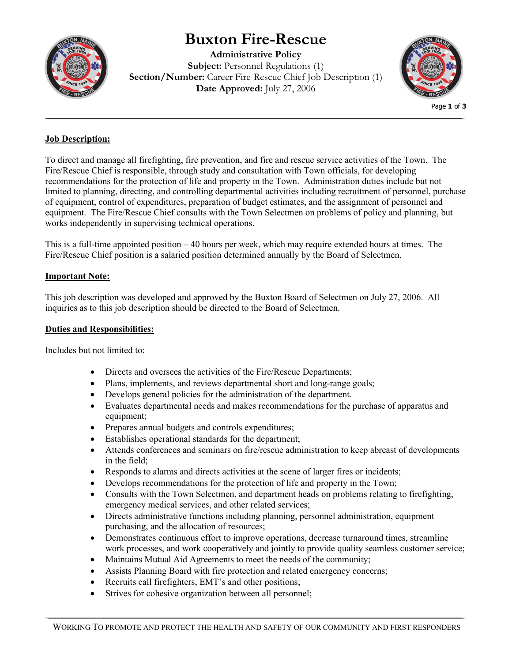# **Buxton Fire-Rescue**



**Administrative Policy Subject:** Personnel Regulations (1) **Section/Number:** Career Fire-Rescue Chief Job Description (1) **Date Approved:** July 27, 2006



Page **1** of **3**

## **Job Description:**

To direct and manage all firefighting, fire prevention, and fire and rescue service activities of the Town. The Fire/Rescue Chief is responsible, through study and consultation with Town officials, for developing recommendations for the protection of life and property in the Town. Administration duties include but not limited to planning, directing, and controlling departmental activities including recruitment of personnel, purchase of equipment, control of expenditures, preparation of budget estimates, and the assignment of personnel and equipment. The Fire/Rescue Chief consults with the Town Selectmen on problems of policy and planning, but works independently in supervising technical operations.

This is a full-time appointed position – 40 hours per week, which may require extended hours at times. The Fire/Rescue Chief position is a salaried position determined annually by the Board of Selectmen.

## **Important Note:**

This job description was developed and approved by the Buxton Board of Selectmen on July 27, 2006. All inquiries as to this job description should be directed to the Board of Selectmen.

### **Duties and Responsibilities:**

Includes but not limited to:

- Directs and oversees the activities of the Fire/Rescue Departments;
- Plans, implements, and reviews departmental short and long-range goals;
- Develops general policies for the administration of the department.
- Evaluates departmental needs and makes recommendations for the purchase of apparatus and equipment;
- Prepares annual budgets and controls expenditures;
- Establishes operational standards for the department;
- Attends conferences and seminars on fire/rescue administration to keep abreast of developments in the field;
- Responds to alarms and directs activities at the scene of larger fires or incidents;
- Develops recommendations for the protection of life and property in the Town;
- Consults with the Town Selectmen, and department heads on problems relating to firefighting, emergency medical services, and other related services;
- Directs administrative functions including planning, personnel administration, equipment purchasing, and the allocation of resources;
- Demonstrates continuous effort to improve operations, decrease turnaround times, streamline work processes, and work cooperatively and jointly to provide quality seamless customer service;
- Maintains Mutual Aid Agreements to meet the needs of the community;
- Assists Planning Board with fire protection and related emergency concerns;
- Recruits call firefighters, EMT's and other positions;
- Strives for cohesive organization between all personnel;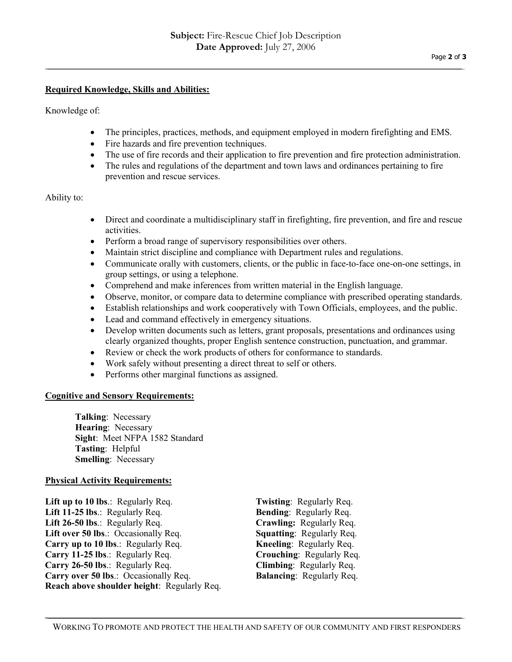#### **Required Knowledge, Skills and Abilities:**

Knowledge of:

- The principles, practices, methods, and equipment employed in modern firefighting and EMS.
- Fire hazards and fire prevention techniques.
- The use of fire records and their application to fire prevention and fire protection administration.
- The rules and regulations of the department and town laws and ordinances pertaining to fire prevention and rescue services.

#### Ability to:

- Direct and coordinate a multidisciplinary staff in firefighting, fire prevention, and fire and rescue activities.
- Perform a broad range of supervisory responsibilities over others.
- Maintain strict discipline and compliance with Department rules and regulations.
- Communicate orally with customers, clients, or the public in face-to-face one-on-one settings, in group settings, or using a telephone.
- Comprehend and make inferences from written material in the English language.
- Observe, monitor, or compare data to determine compliance with prescribed operating standards.
- Establish relationships and work cooperatively with Town Officials, employees, and the public.
- Lead and command effectively in emergency situations.
- Develop written documents such as letters, grant proposals, presentations and ordinances using clearly organized thoughts, proper English sentence construction, punctuation, and grammar.
- Review or check the work products of others for conformance to standards.
- Work safely without presenting a direct threat to self or others.
- Performs other marginal functions as assigned.

#### **Cognitive and Sensory Requirements:**

**Talking**: Necessary **Hearing**: Necessary **Sight**: Meet NFPA 1582 Standard **Tasting**: Helpful **Smelling**: Necessary

#### **Physical Activity Requirements:**

**Lift up to 10 lbs**.: Regularly Req. **Twisting**: Regularly Req. **Lift 11-25 lbs**.: Regularly Req. **Bending**: Regularly Req. **Lift 26-50 lbs**.: Regularly Req. **Crawling:** Regularly Req. **Lift over 50 lbs**.: Occasionally Req. **Squatting**: Regularly Req. **Carry up to 10 lbs**.: Regularly Req. **Kneeling**: Regularly Req. **Carry 11-25 lbs**.: Regularly Req. **Crouching**: Regularly Req. **Carry 26-50 lbs**.: Regularly Req. **Climbing**: Regularly Req. **Carry over 50 lbs**.: Occasionally Req. **Balancing**: Regularly Req. **Reach above shoulder height**: Regularly Req.